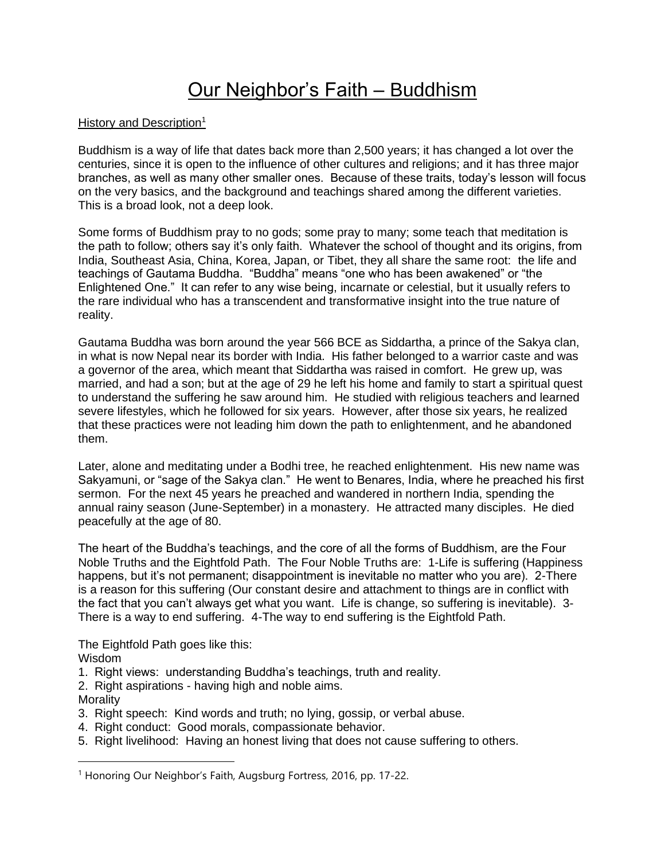# Our Neighbor's Faith – Buddhism

## History and Description<sup>1</sup>

Buddhism is a way of life that dates back more than 2,500 years; it has changed a lot over the centuries, since it is open to the influence of other cultures and religions; and it has three major branches, as well as many other smaller ones. Because of these traits, today's lesson will focus on the very basics, and the background and teachings shared among the different varieties. This is a broad look, not a deep look.

Some forms of Buddhism pray to no gods; some pray to many; some teach that meditation is the path to follow; others say it's only faith. Whatever the school of thought and its origins, from India, Southeast Asia, China, Korea, Japan, or Tibet, they all share the same root: the life and teachings of Gautama Buddha. "Buddha" means "one who has been awakened" or "the Enlightened One." It can refer to any wise being, incarnate or celestial, but it usually refers to the rare individual who has a transcendent and transformative insight into the true nature of reality.

Gautama Buddha was born around the year 566 BCE as Siddartha, a prince of the Sakya clan, in what is now Nepal near its border with India. His father belonged to a warrior caste and was a governor of the area, which meant that Siddartha was raised in comfort. He grew up, was married, and had a son; but at the age of 29 he left his home and family to start a spiritual quest to understand the suffering he saw around him. He studied with religious teachers and learned severe lifestyles, which he followed for six years. However, after those six years, he realized that these practices were not leading him down the path to enlightenment, and he abandoned them.

Later, alone and meditating under a Bodhi tree, he reached enlightenment. His new name was Sakyamuni, or "sage of the Sakya clan." He went to Benares, India, where he preached his first sermon. For the next 45 years he preached and wandered in northern India, spending the annual rainy season (June-September) in a monastery. He attracted many disciples. He died peacefully at the age of 80.

The heart of the Buddha's teachings, and the core of all the forms of Buddhism, are the Four Noble Truths and the Eightfold Path. The Four Noble Truths are: 1-Life is suffering (Happiness happens, but it's not permanent; disappointment is inevitable no matter who you are). 2-There is a reason for this suffering (Our constant desire and attachment to things are in conflict with the fact that you can't always get what you want. Life is change, so suffering is inevitable). 3- There is a way to end suffering. 4-The way to end suffering is the Eightfold Path.

The Eightfold Path goes like this:

Wisdom

- 1. Right views: understanding Buddha's teachings, truth and reality.
- 2. Right aspirations having high and noble aims.

**Morality** 

- 3. Right speech: Kind words and truth; no lying, gossip, or verbal abuse.
- 4. Right conduct: Good morals, compassionate behavior.
- 5. Right livelihood: Having an honest living that does not cause suffering to others.

<sup>&</sup>lt;sup>1</sup> Honoring Our Neighbor's Faith, Augsburg Fortress, 2016, pp. 17-22.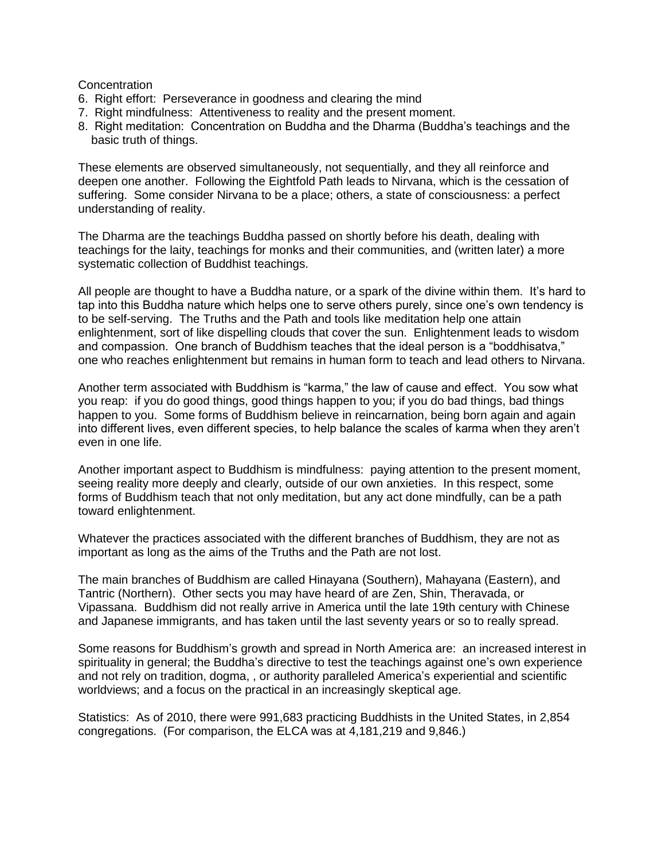#### **Concentration**

- 6. Right effort: Perseverance in goodness and clearing the mind
- 7. Right mindfulness: Attentiveness to reality and the present moment.
- 8. Right meditation: Concentration on Buddha and the Dharma (Buddha's teachings and the basic truth of things.

These elements are observed simultaneously, not sequentially, and they all reinforce and deepen one another. Following the Eightfold Path leads to Nirvana, which is the cessation of suffering. Some consider Nirvana to be a place; others, a state of consciousness: a perfect understanding of reality.

The Dharma are the teachings Buddha passed on shortly before his death, dealing with teachings for the laity, teachings for monks and their communities, and (written later) a more systematic collection of Buddhist teachings.

All people are thought to have a Buddha nature, or a spark of the divine within them. It's hard to tap into this Buddha nature which helps one to serve others purely, since one's own tendency is to be self-serving. The Truths and the Path and tools like meditation help one attain enlightenment, sort of like dispelling clouds that cover the sun. Enlightenment leads to wisdom and compassion. One branch of Buddhism teaches that the ideal person is a "boddhisatva," one who reaches enlightenment but remains in human form to teach and lead others to Nirvana.

Another term associated with Buddhism is "karma," the law of cause and effect. You sow what you reap: if you do good things, good things happen to you; if you do bad things, bad things happen to you. Some forms of Buddhism believe in reincarnation, being born again and again into different lives, even different species, to help balance the scales of karma when they aren't even in one life.

Another important aspect to Buddhism is mindfulness: paying attention to the present moment, seeing reality more deeply and clearly, outside of our own anxieties. In this respect, some forms of Buddhism teach that not only meditation, but any act done mindfully, can be a path toward enlightenment.

Whatever the practices associated with the different branches of Buddhism, they are not as important as long as the aims of the Truths and the Path are not lost.

The main branches of Buddhism are called Hinayana (Southern), Mahayana (Eastern), and Tantric (Northern). Other sects you may have heard of are Zen, Shin, Theravada, or Vipassana. Buddhism did not really arrive in America until the late 19th century with Chinese and Japanese immigrants, and has taken until the last seventy years or so to really spread.

Some reasons for Buddhism's growth and spread in North America are: an increased interest in spirituality in general; the Buddha's directive to test the teachings against one's own experience and not rely on tradition, dogma, , or authority paralleled America's experiential and scientific worldviews; and a focus on the practical in an increasingly skeptical age.

Statistics: As of 2010, there were 991,683 practicing Buddhists in the United States, in 2,854 congregations. (For comparison, the ELCA was at 4,181,219 and 9,846.)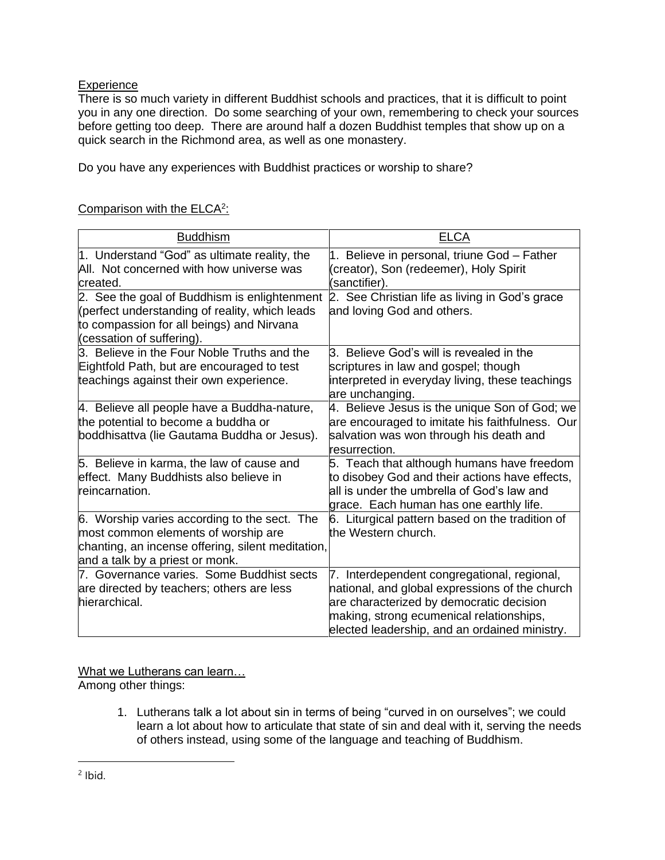# **Experience**

There is so much variety in different Buddhist schools and practices, that it is difficult to point you in any one direction. Do some searching of your own, remembering to check your sources before getting too deep. There are around half a dozen Buddhist temples that show up on a quick search in the Richmond area, as well as one monastery.

Do you have any experiences with Buddhist practices or worship to share?

# Comparison with the ELCA<sup>2</sup>:

| <b>Buddhism</b>                                                                                                                                                             | <b>ELCA</b>                                                                                                                                                                                                                               |
|-----------------------------------------------------------------------------------------------------------------------------------------------------------------------------|-------------------------------------------------------------------------------------------------------------------------------------------------------------------------------------------------------------------------------------------|
| 1. Understand "God" as ultimate reality, the<br>All. Not concerned with how universe was<br>created.                                                                        | 1. Believe in personal, triune God - Father<br>(creator), Son (redeemer), Holy Spirit<br>(sanctifier).                                                                                                                                    |
| 2. See the goal of Buddhism is enlightenment<br>(perfect understanding of reality, which leads<br>to compassion for all beings) and Nirvana<br>(cessation of suffering).    | 2. See Christian life as living in God's grace<br>and loving God and others.                                                                                                                                                              |
| 3. Believe in the Four Noble Truths and the<br>Eightfold Path, but are encouraged to test<br>teachings against their own experience.                                        | 3. Believe God's will is revealed in the<br>scriptures in law and gospel; though<br>interpreted in everyday living, these teachings<br>are unchanging.                                                                                    |
| 4. Believe all people have a Buddha-nature,<br>the potential to become a buddha or<br>boddhisattva (lie Gautama Buddha or Jesus).                                           | 4. Believe Jesus is the unique Son of God; we<br>are encouraged to imitate his faithfulness. Our<br>salvation was won through his death and<br>resurrection.                                                                              |
| 5. Believe in karma, the law of cause and<br>effect. Many Buddhists also believe in<br>reincarnation.                                                                       | 5. Teach that although humans have freedom<br>to disobey God and their actions have effects,<br>lall is under the umbrella of God's law and<br>grace. Each human has one earthly life.                                                    |
| 6. Worship varies according to the sect. The<br>most common elements of worship are<br>chanting, an incense offering, silent meditation,<br>and a talk by a priest or monk. | 6. Liturgical pattern based on the tradition of<br>the Western church.                                                                                                                                                                    |
| 7. Governance varies. Some Buddhist sects<br>are directed by teachers; others are less<br>hierarchical.                                                                     | Interdependent congregational, regional,<br>7.<br>national, and global expressions of the church<br>are characterized by democratic decision<br>making, strong ecumenical relationships,<br>elected leadership, and an ordained ministry. |

What we Lutherans can learn…

Among other things:

1. Lutherans talk a lot about sin in terms of being "curved in on ourselves"; we could learn a lot about how to articulate that state of sin and deal with it, serving the needs of others instead, using some of the language and teaching of Buddhism.

 $2$  lbid.